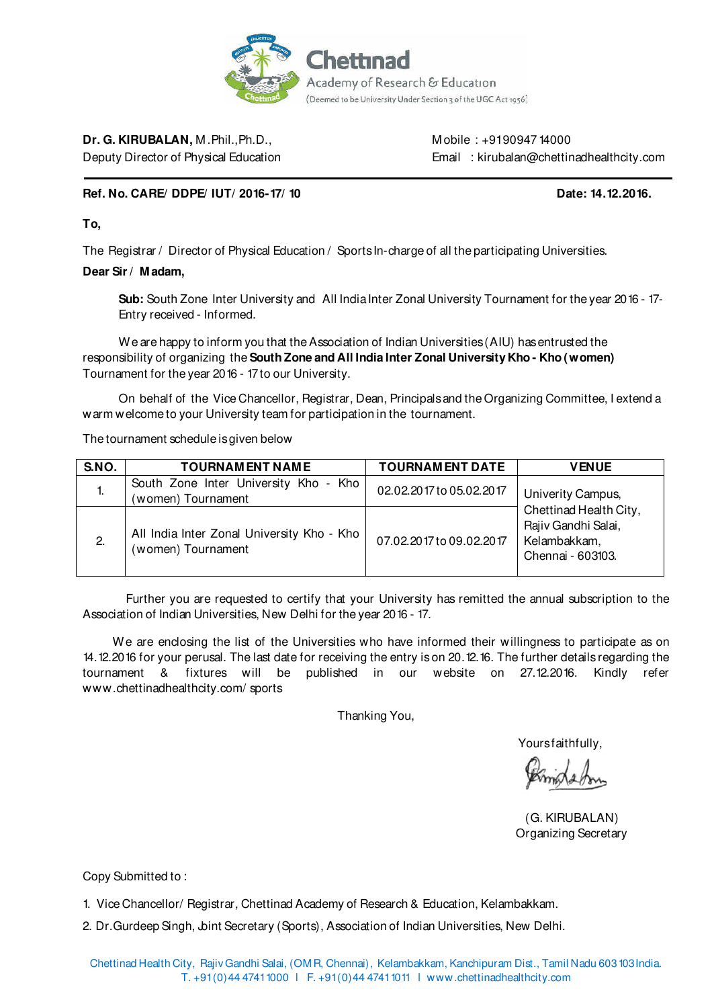

**Dr. G. KIRUBALAN.** M. Phil., Ph.D., Mulle : +9190947 14000

Deputy Director of Physical Education **Email : kirubalan@chettinadhealthcity.com** 

## **Ref. No. CARE/ DDPE/ IUT/ 2016-17/ 10 Date: 14.12.2016. Date: 14.12.2016.**

## **To,**

The Registrar / Director of Physical Education / Sports In-charge of all the participating Universities.

#### **Dear Sir / M adam,**

 **Sub:** South Zone Inter University and All India Inter Zonal University Tournament for the year 2016 - 17- Entry received - Informed.

We are happy to inform you that the Association of Indian Universities (AIU) has entrusted the responsibility of organizing the **South Zone and All India Inter Zonal University Kho - Kho (women)**  Tournament for the year 2016 - 17 to our University.

On behalf of the Vice Chancellor, Registrar, Dean, Principals and the Organizing Committee, I extend a warm welcome to your University team for participation in the tournament.

The tournament schedule is given below

| S.NO. | <b>TOURNAMENT NAME</b>                                           | <b>TOURNAMENT DATE</b>   | <b>VENUE</b>                                                                       |
|-------|------------------------------------------------------------------|--------------------------|------------------------------------------------------------------------------------|
| ٠.    | South Zone Inter University Kho - Kho<br>(women) Tournament      | 02.02.2017 to 05.02.2017 | Univerity Campus,                                                                  |
| 2.    | All India Inter Zonal University Kho - Kho<br>(women) Tournament | 07.02.2017 to 09.02.2017 | Chettinad Health City,<br>Rajiv Gandhi Salai,<br>Kelambakkam,<br>Chennai - 603103. |

 Further you are requested to certify that your University has remitted the annual subscription to the Association of Indian Universities, New Delhi for the year 2016 - 17.

We are enclosing the list of the Universities who have informed their willingness to participate as on 14.12.2016 for your perusal. The last date for receiving the entry is on 20.12.16. The further details regarding the tournament & fixtures will be published in our website on 27.12.2016. Kindly refer www.chettinadhealthcity.com/ sports

Thanking You,

Yours faithfully.

 (G. KIRUBALAN) Organizing Secretary

Copy Submitted to :

1. Vice Chancellor/ Registrar, Chettinad Academy of Research & Education, Kelambakkam.

2. Dr. Gurdeep Singh, Joint Secretary (Sports), Association of Indian Universities, New Delhi.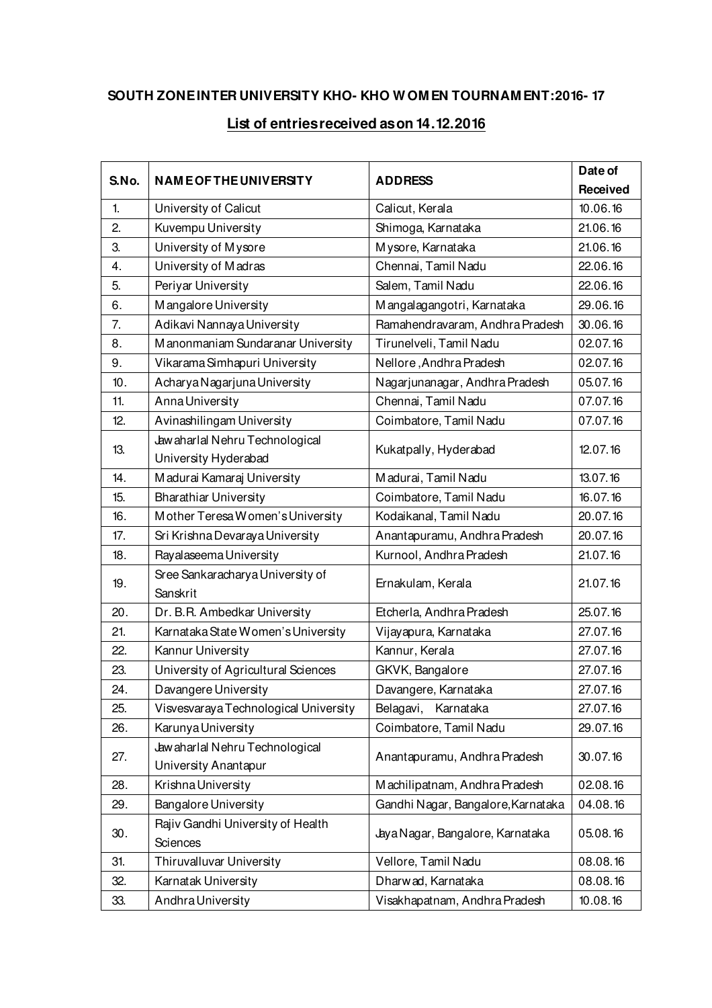# **SOUTH ZONE INTER UNIVERSITY KHO- KHO W OM EN TOURNAM ENT:2016- 17**

# **List of entries received as on 14.12.2016**

| S.No. | <b>NAME OF THE UNIVERSITY</b>                          |                                    | Date of  |
|-------|--------------------------------------------------------|------------------------------------|----------|
|       |                                                        | <b>ADDRESS</b>                     | Received |
| 1.    | University of Calicut                                  | Calicut, Kerala                    | 10.06.16 |
| 2.    | Kuvempu University                                     | Shimoga, Karnataka                 | 21.06.16 |
| 3.    | University of Mysore                                   | Mysore, Karnataka                  | 21.06.16 |
| 4.    | University of Madras                                   | Chennai, Tamil Nadu                | 22.06.16 |
| 5.    | Periyar University                                     | Salem, Tamil Nadu                  | 22.06.16 |
| 6.    | Mangalore University                                   | Mangalagangotri, Karnataka         | 29.06.16 |
| 7.    | Adikavi Nannaya University                             | Ramahendravaram, Andhra Pradesh    | 30.06.16 |
| 8.    | Manonmaniam Sundaranar University                      | Tirunelveli, Tamil Nadu            | 02.07.16 |
| 9.    | Vikarama Simhapuri University                          | Nellore, Andhra Pradesh            | 02.07.16 |
| 10.   | Acharya Nagarjuna University                           | Nagarjunanagar, Andhra Pradesh     | 05.07.16 |
| 11.   | Anna University                                        | Chennai, Tamil Nadu                | 07.07.16 |
| 12.   | Avinashilingam University                              | Coimbatore, Tamil Nadu             | 07.07.16 |
|       | Jawaharlal Nehru Technological                         |                                    | 12.07.16 |
| 13.   | University Hyderabad                                   | Kukatpally, Hyderabad              |          |
| 14.   | Madurai Kamaraj University                             | Madurai, Tamil Nadu                | 13.07.16 |
| 15.   | <b>Bharathiar University</b>                           | Coimbatore, Tamil Nadu             | 16.07.16 |
| 16.   | Mother Teresa Women's University                       | Kodaikanal, Tamil Nadu             | 20.07.16 |
| 17.   | Sri Krishna Devaraya University                        | Anantapuramu, Andhra Pradesh       | 20.07.16 |
| 18.   | Rayalaseema University                                 | Kurnool, Andhra Pradesh            | 21.07.16 |
| 19.   | Sree Sankaracharya University of<br>Sanskrit           | Ernakulam, Kerala                  | 21.07.16 |
| 20.   | Dr. B.R. Ambedkar University                           | Etcherla, Andhra Pradesh           | 25.07.16 |
| 21.   | Karnataka State Women's University                     | Vijayapura, Karnataka              | 27.07.16 |
| 22.   | Kannur University                                      | Kannur, Kerala                     | 27.07.16 |
| 23.   | University of Agricultural Sciences                    | GKVK, Bangalore                    | 27.07.16 |
| 24.   | Davangere University                                   | Davangere, Karnataka               | 27.07.16 |
| 25.   | Visvesvaraya Technological University                  | Karnataka<br>Belagavi,             | 27.07.16 |
| 26.   | Karunya University                                     | Coimbatore, Tamil Nadu             | 29.07.16 |
| 27.   | Jawaharlal Nehru Technological<br>University Anantapur | Anantapuramu, Andhra Pradesh       | 30.07.16 |
| 28.   | Krishna University                                     | Machilipatnam, Andhra Pradesh      | 02.08.16 |
| 29.   | Bangalore University                                   | Gandhi Nagar, Bangalore, Karnataka | 04.08.16 |
|       | Rajiv Gandhi University of Health                      |                                    | 05.08.16 |
| 30.   | Sciences                                               | Jaya Nagar, Bangalore, Karnataka   |          |
| 31.   | Thiruvalluvar University                               | Vellore, Tamil Nadu<br>08.08.16    |          |
| 32.   | Karnatak University                                    | Dharwad, Karnataka                 | 08.08.16 |
| 33.   | Andhra University                                      | Visakhapatnam, Andhra Pradesh      | 10.08.16 |